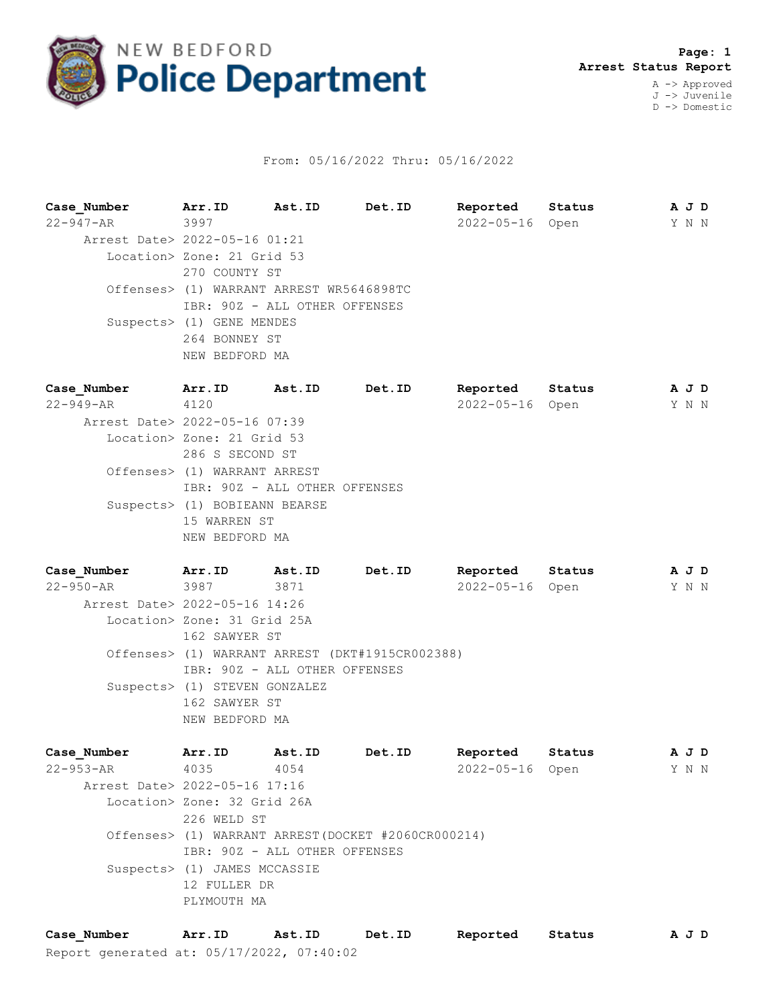

## From: 05/16/2022 Thru: 05/16/2022

**Case\_Number Arr.ID Ast.ID Det.ID Reported Status A J D** 22-947-AR 3997 2022-05-16 Open Y N N Arrest Date> 2022-05-16 01:21 Location> Zone: 21 Grid 53 270 COUNTY ST Offenses> (1) WARRANT ARREST WR5646898TC IBR: 90Z - ALL OTHER OFFENSES Suspects> (1) GENE MENDES 264 BONNEY ST NEW BEDFORD MA **Case\_Number Arr.ID Ast.ID Det.ID Reported Status A J D** 22-949-AR 4120 2022-05-16 Open Y N N Arrest Date> 2022-05-16 07:39 Location> Zone: 21 Grid 53 286 S SECOND ST Offenses> (1) WARRANT ARREST IBR: 90Z - ALL OTHER OFFENSES Suspects> (1) BOBIEANN BEARSE 15 WARREN ST NEW BEDFORD MA

**Case\_Number Arr.ID Ast.ID Det.ID Reported Status A J D** 22-950-AR 3987 3871 2022-05-16 Open Y N N Arrest Date> 2022-05-16 14:26 Location> Zone: 31 Grid 25A 162 SAWYER ST Offenses> (1) WARRANT ARREST (DKT#1915CR002388) IBR: 90Z - ALL OTHER OFFENSES Suspects> (1) STEVEN GONZALEZ 162 SAWYER ST NEW BEDFORD MA

**Case\_Number Arr.ID Ast.ID Det.ID Reported Status A J D** 22-953-AR 4035 4054 2022-05-16 Open Y N N Arrest Date> 2022-05-16 17:16 Location> Zone: 32 Grid 26A 226 WELD ST Offenses> (1) WARRANT ARREST(DOCKET #2060CR000214) IBR: 90Z - ALL OTHER OFFENSES Suspects> (1) JAMES MCCASSIE 12 FULLER DR PLYMOUTH MA

Report generated at: 05/17/2022, 07:40:02 **Case\_Number Arr.ID Ast.ID Det.ID Reported Status A J D**